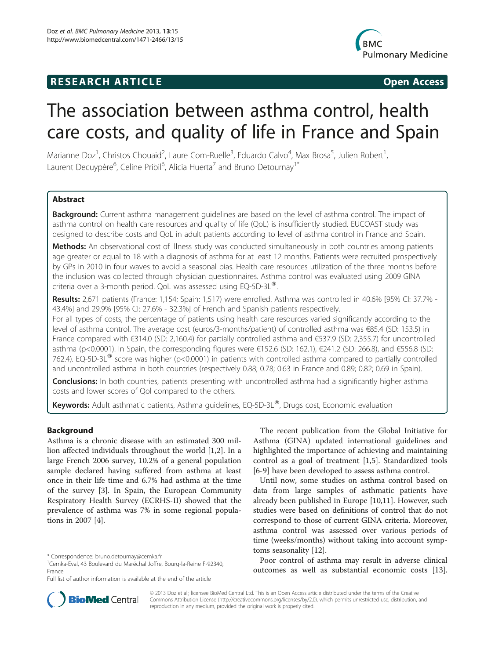# **RESEARCH ARTICLE Example 20 and 20 and 20 and 20 and 20 and 20 and 20 and 20 and 20 and 20 and 20 and 20 and 20 and 20 and 20 and 20 and 20 and 20 and 20 and 20 and 20 and 20 and 20 and 20 and 20 and 20 and 20 and 20 an**



# The association between asthma control, health care costs, and quality of life in France and Spain

Marianne Doz<sup>1</sup>, Christos Chouaid<sup>2</sup>, Laure Com-Ruelle<sup>3</sup>, Eduardo Calvo<sup>4</sup>, Max Brosa<sup>5</sup>, Julien Robert<sup>1</sup> , Laurent Decuypère<sup>6</sup>, Celine Pribil<sup>6</sup>, Alicia Huerta<sup>7</sup> and Bruno Detournay<sup>1\*</sup>

# Abstract

Background: Current asthma management quidelines are based on the level of asthma control. The impact of asthma control on health care resources and quality of life (QoL) is insufficiently studied. EUCOAST study was designed to describe costs and QoL in adult patients according to level of asthma control in France and Spain.

Methods: An observational cost of illness study was conducted simultaneously in both countries among patients age greater or equal to 18 with a diagnosis of asthma for at least 12 months. Patients were recruited prospectively by GPs in 2010 in four waves to avoid a seasonal bias. Health care resources utilization of the three months before the inclusion was collected through physician questionnaires. Asthma control was evaluated using 2009 GINA criteria over a 3-month period. QoL was assessed using EQ-5D-3L<sup>®</sup>.

Results: 2,671 patients (France: 1,154; Spain: 1,517) were enrolled. Asthma was controlled in 40.6% [95% CI: 37.7% -43.4%] and 29.9% [95% CI: 27.6% - 32.3%] of French and Spanish patients respectively.

For all types of costs, the percentage of patients using health care resources varied significantly according to the level of asthma control. The average cost (euros/3-months/patient) of controlled asthma was €85.4 (SD: 153.5) in France compared with €314.0 (SD: 2,160.4) for partially controlled asthma and €537.9 (SD: 2,355.7) for uncontrolled asthma (p<0.0001). In Spain, the corresponding figures were €152.6 (SD: 162.1), €241.2 (SD: 266.8), and €556.8 (SD: 762.4). EQ-5D-3L<sup>®</sup> score was higher (p<0.0001) in patients with controlled asthma compared to partially controlled and uncontrolled asthma in both countries (respectively 0.88; 0.78; 0.63 in France and 0.89; 0.82; 0.69 in Spain).

**Conclusions:** In both countries, patients presenting with uncontrolled asthma had a significantly higher asthma costs and lower scores of Qol compared to the others.

Keywords: Adult asthmatic patients, Asthma guidelines, EQ-5D-3L®, Drugs cost, Economic evaluation

# Background

Asthma is a chronic disease with an estimated 300 million affected individuals throughout the world [[1,2\]](#page-9-0). In a large French 2006 survey, 10.2% of a general population sample declared having suffered from asthma at least once in their life time and 6.7% had asthma at the time of the survey [[3\]](#page-9-0). In Spain, the European Community Respiratory Health Survey (ECRHS-II) showed that the prevalence of asthma was 7% in some regional populations in 2007 [\[4](#page-9-0)].

The recent publication from the Global Initiative for Asthma (GINA) updated international guidelines and highlighted the importance of achieving and maintaining control as a goal of treatment [\[1,5](#page-9-0)]. Standardized tools [[6-9](#page-9-0)] have been developed to assess asthma control.

Until now, some studies on asthma control based on data from large samples of asthmatic patients have already been published in Europe [\[10,11](#page-9-0)]. However, such studies were based on definitions of control that do not correspond to those of current GINA criteria. Moreover, asthma control was assessed over various periods of time (weeks/months) without taking into account symptoms seasonality [\[12\]](#page-9-0).

Poor control of asthma may result in adverse clinical outcomes as well as substantial economic costs [\[13](#page-9-0)].



© 2013 Doz et al.; licensee BioMed Central Ltd. This is an Open Access article distributed under the terms of the Creative Commons Attribution License [\(http://creativecommons.org/licenses/by/2.0\)](http://creativecommons.org/licenses/by/2.0), which permits unrestricted use, distribution, and reproduction in any medium, provided the original work is properly cited.

<sup>\*</sup> Correspondence: [bruno.detournay@cemka.fr](mailto:bruno.detournay@cemka.fr) <sup>1</sup>

<sup>&</sup>lt;sup>1</sup> Cemka-Eval, 43 Boulevard du Maréchal Joffre, Bourg-la-Reine F-92340, France

Full list of author information is available at the end of the article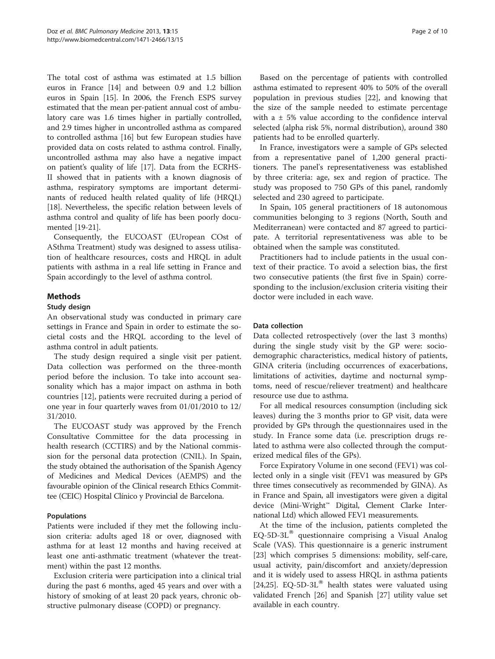The total cost of asthma was estimated at 1.5 billion euros in France [\[14\]](#page-9-0) and between 0.9 and 1.2 billion euros in Spain [\[15](#page-9-0)]. In 2006, the French ESPS survey estimated that the mean per-patient annual cost of ambulatory care was 1.6 times higher in partially controlled, and 2.9 times higher in uncontrolled asthma as compared to controlled asthma [\[16\]](#page-9-0) but few European studies have provided data on costs related to asthma control. Finally, uncontrolled asthma may also have a negative impact on patient's quality of life [\[17](#page-9-0)]. Data from the ECRHS-II showed that in patients with a known diagnosis of asthma, respiratory symptoms are important determinants of reduced health related quality of life (HRQL) [[18](#page-9-0)]. Nevertheless, the specific relation between levels of asthma control and quality of life has been poorly documented [\[19-21\]](#page-9-0).

Consequently, the EUCOAST (EUropean COst of ASthma Treatment) study was designed to assess utilisation of healthcare resources, costs and HRQL in adult patients with asthma in a real life setting in France and Spain accordingly to the level of asthma control.

# Methods

## Study design

An observational study was conducted in primary care settings in France and Spain in order to estimate the societal costs and the HRQL according to the level of asthma control in adult patients.

The study design required a single visit per patient. Data collection was performed on the three-month period before the inclusion. To take into account seasonality which has a major impact on asthma in both countries [[12](#page-9-0)], patients were recruited during a period of one year in four quarterly waves from 01/01/2010 to 12/ 31/2010.

The EUCOAST study was approved by the French Consultative Committee for the data processing in health research (CCTIRS) and by the National commission for the personal data protection (CNIL). In Spain, the study obtained the authorisation of the Spanish Agency of Medicines and Medical Devices (AEMPS) and the favourable opinion of the Clinical research Ethics Committee (CEIC) Hospital Clínico y Provincial de Barcelona.

# Populations

Patients were included if they met the following inclusion criteria: adults aged 18 or over, diagnosed with asthma for at least 12 months and having received at least one anti-asthmatic treatment (whatever the treatment) within the past 12 months.

Exclusion criteria were participation into a clinical trial during the past 6 months, aged 45 years and over with a history of smoking of at least 20 pack years, chronic obstructive pulmonary disease (COPD) or pregnancy.

Based on the percentage of patients with controlled asthma estimated to represent 40% to 50% of the overall population in previous studies [[22](#page-9-0)], and knowing that the size of the sample needed to estimate percentage with a  $\pm$  5% value according to the confidence interval selected (alpha risk 5%, normal distribution), around 380 patients had to be enrolled quarterly.

In France, investigators were a sample of GPs selected from a representative panel of 1,200 general practitioners. The panel's representativeness was established by three criteria: age, sex and region of practice. The study was proposed to 750 GPs of this panel, randomly selected and 230 agreed to participate.

In Spain, 105 general practitioners of 18 autonomous communities belonging to 3 regions (North, South and Mediterranean) were contacted and 87 agreed to participate. A territorial representativeness was able to be obtained when the sample was constituted.

Practitioners had to include patients in the usual context of their practice. To avoid a selection bias, the first two consecutive patients (the first five in Spain) corresponding to the inclusion/exclusion criteria visiting their doctor were included in each wave.

# Data collection

Data collected retrospectively (over the last 3 months) during the single study visit by the GP were: sociodemographic characteristics, medical history of patients, GINA criteria (including occurrences of exacerbations, limitations of activities, daytime and nocturnal symptoms, need of rescue/reliever treatment) and healthcare resource use due to asthma.

For all medical resources consumption (including sick leaves) during the 3 months prior to GP visit, data were provided by GPs through the questionnaires used in the study. In France some data (i.e. prescription drugs related to asthma were also collected through the computerized medical files of the GPs).

Force Expiratory Volume in one second (FEV1) was collected only in a single visit (FEV1 was measured by GPs three times consecutively as recommended by GINA). As in France and Spain, all investigators were given a digital device (Mini-Wright™ Digital, Clement Clarke International Ltd) which allowed FEV1 measurements.

At the time of the inclusion, patients completed the  $EQ-5D-3L^®$  questionnaire comprising a Visual Analog Scale (VAS). This questionnaire is a generic instrument [[23\]](#page-9-0) which comprises 5 dimensions: mobility, self-care, usual activity, pain/discomfort and anxiety/depression and it is widely used to assess HRQL in asthma patients [[24,25\]](#page-9-0). EQ-5D-3L $^{\circ}$  health states were valuated using validated French [\[26\]](#page-9-0) and Spanish [[27](#page-9-0)] utility value set available in each country.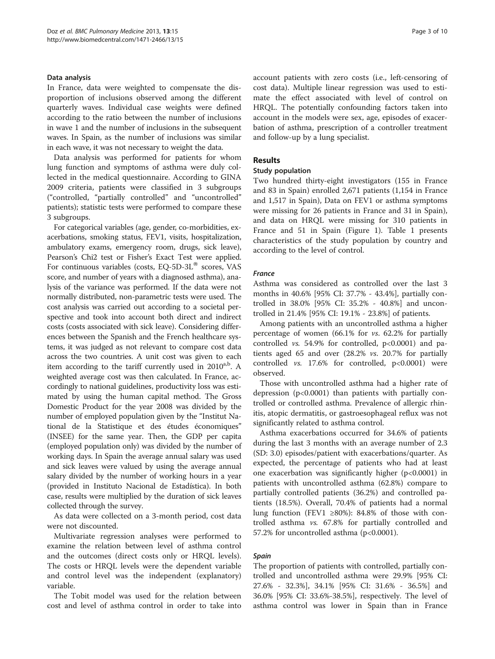#### Data analysis

In France, data were weighted to compensate the disproportion of inclusions observed among the different quarterly waves. Individual case weights were defined according to the ratio between the number of inclusions in wave 1 and the number of inclusions in the subsequent waves. In Spain, as the number of inclusions was similar in each wave, it was not necessary to weight the data.

Data analysis was performed for patients for whom lung function and symptoms of asthma were duly collected in the medical questionnaire. According to GINA 2009 criteria, patients were classified in 3 subgroups ("controlled, "partially controlled" and "uncontrolled" patients); statistic tests were performed to compare these 3 subgroups.

For categorical variables (age, gender, co-morbidities, exacerbations, smoking status, FEV1, visits, hospitalization, ambulatory exams, emergency room, drugs, sick leave), Pearson's Chi2 test or Fisher's Exact Test were applied. For continuous variables (costs, EQ-5D-3L $^{\circledR}$  scores, VAS score, and number of years with a diagnosed asthma), analysis of the variance was performed. If the data were not normally distributed, non-parametric tests were used. The cost analysis was carried out according to a societal perspective and took into account both direct and indirect costs (costs associated with sick leave). Considering differences between the Spanish and the French healthcare systems, it was judged as not relevant to compare cost data across the two countries. A unit cost was given to each item according to the tariff currently used in  $2010^{a,b}$ . A weighted average cost was then calculated. In France, accordingly to national guidelines, productivity loss was estimated by using the human capital method. The Gross Domestic Product for the year 2008 was divided by the number of employed population given by the "Institut National de la Statistique et des études économiques" (INSEE) for the same year. Then, the GDP per capita (employed population only) was divided by the number of working days. In Spain the average annual salary was used and sick leaves were valued by using the average annual salary divided by the number of working hours in a year (provided in Instituto Nacional de Estadística). In both case, results were multiplied by the duration of sick leaves collected through the survey.

As data were collected on a 3-month period, cost data were not discounted.

Multivariate regression analyses were performed to examine the relation between level of asthma control and the outcomes (direct costs only or HRQL levels). The costs or HRQL levels were the dependent variable and control level was the independent (explanatory) variable.

The Tobit model was used for the relation between cost and level of asthma control in order to take into account patients with zero costs (i.e., left-censoring of cost data). Multiple linear regression was used to estimate the effect associated with level of control on HRQL. The potentially confounding factors taken into account in the models were sex, age, episodes of exacerbation of asthma, prescription of a controller treatment and follow-up by a lung specialist.

## Results

#### Study population

Two hundred thirty-eight investigators (155 in France and 83 in Spain) enrolled 2,671 patients (1,154 in France and 1,517 in Spain), Data on FEV1 or asthma symptoms were missing for 26 patients in France and 31 in Spain), and data on HRQL were missing for 310 patients in France and 51 in Spain (Figure [1](#page-3-0)). Table [1](#page-4-0) presents characteristics of the study population by country and according to the level of control.

#### France

Asthma was considered as controlled over the last 3 months in 40.6% [95% CI: 37.7% - 43.4%], partially controlled in 38.0% [95% CI: 35.2% - 40.8%] and uncontrolled in 21.4% [95% CI: 19.1% - 23.8%] of patients.

Among patients with an uncontrolled asthma a higher percentage of women (66.1% for vs. 62.2% for partially controlled *vs.* 54.9% for controlled,  $p<0.0001$  and patients aged 65 and over (28.2% vs. 20.7% for partially controlled vs. 17.6% for controlled, p<0.0001) were observed.

Those with uncontrolled asthma had a higher rate of depression (p<0.0001) than patients with partially controlled or controlled asthma. Prevalence of allergic rhinitis, atopic dermatitis, or gastroesophageal reflux was not significantly related to asthma control.

Asthma exacerbations occurred for 34.6% of patients during the last 3 months with an average number of 2.3 (SD: 3.0) episodes/patient with exacerbations/quarter. As expected, the percentage of patients who had at least one exacerbation was significantly higher (p<0.0001) in patients with uncontrolled asthma (62.8%) compare to partially controlled patients (36.2%) and controlled patients (18.5%). Overall, 70.4% of patients had a normal lung function (FEV1  $\geq 80\%$ ): 84.8% of those with controlled asthma vs. 67.8% for partially controlled and 57.2% for uncontrolled asthma  $(p<0.0001)$ .

#### Spain

The proportion of patients with controlled, partially controlled and uncontrolled asthma were 29.9% [95% CI: 27.6% - 32.3%], 34.1% [95% CI: 31.6% - 36.5%] and 36.0% [95% CI: 33.6%-38.5%], respectively. The level of asthma control was lower in Spain than in France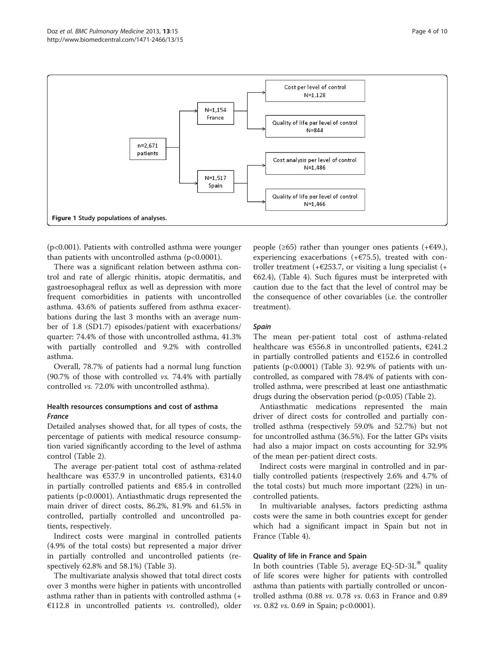<span id="page-3-0"></span>

(p<0.001). Patients with controlled asthma were younger than patients with uncontrolled asthma  $(p<0.0001)$ .

There was a significant relation between asthma control and rate of allergic rhinitis, atopic dermatitis, and gastroesophageal reflux as well as depression with more frequent comorbidities in patients with uncontrolled asthma. 43.6% of patients suffered from asthma exacerbations during the last 3 months with an average number of 1.8 (SD1.7) episodes/patient with exacerbations/ quarter: 74.4% of those with uncontrolled asthma, 41.3% with partially controlled and 9.2% with controlled asthma.

Overall, 78.7% of patients had a normal lung function (90.7% of those with controlled vs. 74.4% with partially controlled vs. 72.0% with uncontrolled asthma).

# Health resources consumptions and cost of asthma France

Detailed analyses showed that, for all types of costs, the percentage of patients with medical resource consumption varied significantly according to the level of asthma control (Table [2](#page-5-0)).

The average per-patient total cost of asthma-related healthcare was €537.9 in uncontrolled patients, €314.0 in partially controlled patients and  $€85.4$  in controlled patients (p<0.0001). Antiasthmatic drugs represented the main driver of direct costs, 86.2%, 81.9% and 61.5% in controlled, partially controlled and uncontrolled patients, respectively.

Indirect costs were marginal in controlled patients (4.9% of the total costs) but represented a major driver in partially controlled and uncontrolled patients (respectively 62.8% and 58.1%) (Table [3\)](#page-6-0).

The multivariate analysis showed that total direct costs over 3 months were higher in patients with uncontrolled asthma rather than in patients with controlled asthma (+  $€112.8$  in uncontrolled patients vs. controlled), older people ( $\geq 65$ ) rather than younger ones patients (+ $\in \{49, \}$ ), experiencing exacerbations  $(+675.5)$ , treated with controller treatment (+ $\epsilon$ 253.7, or visiting a lung specialist (+  $E(62.4)$ , (Table [4\)](#page-6-0). Such figures must be interpreted with caution due to the fact that the level of control may be the consequence of other covariables (i.e. the controller treatment).

# Spain

The mean per-patient total cost of asthma-related healthcare was €556.8 in uncontrolled patients, €241.2 in partially controlled patients and €152.6 in controlled patients ( $p<0.0001$ ) (Table [3](#page-6-0)). 92.9% of patients with uncontrolled, as compared with 78.4% of patients with controlled asthma, were prescribed at least one antiasthmatic drugs during the observation period (p<0.05) (Table [2](#page-5-0)).

Antiasthmatic medications represented the main driver of direct costs for controlled and partially controlled asthma (respectively 59.0% and 52.7%) but not for uncontrolled asthma (36.5%). For the latter GPs visits had also a major impact on costs accounting for 32.9% of the mean per-patient direct costs.

Indirect costs were marginal in controlled and in partially controlled patients (respectively 2.6% and 4.7% of the total costs) but much more important (22%) in uncontrolled patients.

In multivariable analyses, factors predicting asthma costs were the same in both countries except for gender which had a significant impact in Spain but not in France (Table [4](#page-6-0)).

# Quality of life in France and Spain

In both countries (Table [5](#page-7-0)), average EQ-5D-3L<sup>®</sup> quality of life scores were higher for patients with controlled asthma than patients with partially controlled or uncontrolled asthma (0.88 vs. 0.78 vs. 0.63 in France and 0.89 vs. 0.82 vs. 0.69 in Spain; p<0.0001).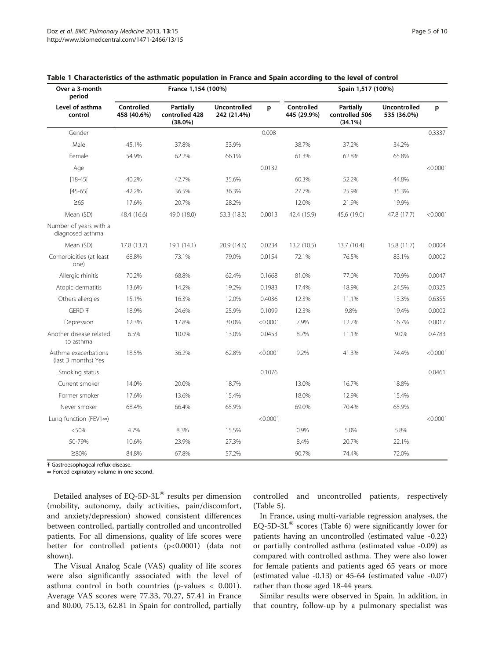| Over a 3-month<br>period                    | France 1,154 (100%)       |                                                  |                                    |          | Spain 1,517 (100%)        |                                               |                                    |          |  |
|---------------------------------------------|---------------------------|--------------------------------------------------|------------------------------------|----------|---------------------------|-----------------------------------------------|------------------------------------|----------|--|
| Level of asthma<br>control                  | Controlled<br>458 (40.6%) | <b>Partially</b><br>controlled 428<br>$(38.0\%)$ | <b>Uncontrolled</b><br>242 (21.4%) | p        | Controlled<br>445 (29.9%) | <b>Partially</b><br>controlled 506<br>(34.1%) | <b>Uncontrolled</b><br>535 (36.0%) | p        |  |
| Gender                                      |                           |                                                  |                                    | 0.008    |                           |                                               |                                    | 0.3337   |  |
| Male                                        | 45.1%                     | 37.8%                                            | 33.9%                              |          | 38.7%                     | 37.2%                                         | 34.2%                              |          |  |
| Female                                      | 54.9%                     | 62.2%                                            | 66.1%                              |          | 61.3%                     | 62.8%                                         | 65.8%                              |          |  |
| Age                                         |                           |                                                  |                                    | 0.0132   |                           |                                               |                                    | < 0.0001 |  |
| $[18-45]$                                   | 40.2%                     | 42.7%                                            | 35.6%                              |          | 60.3%                     | 52.2%                                         | 44.8%                              |          |  |
| $[45 - 65]$                                 | 42.2%                     | 36.5%                                            | 36.3%                              |          | 27.7%                     | 25.9%                                         | 35.3%                              |          |  |
| $\geq 65$                                   | 17.6%                     | 20.7%                                            | 28.2%                              |          | 12.0%                     | 21.9%                                         | 19.9%                              |          |  |
| Mean (SD)                                   | 48.4 (16.6)               | 49.0 (18.0)                                      | 53.3 (18.3)                        | 0.0013   | 42.4 (15.9)               | 45.6 (19.0)                                   | 47.8 (17.7)                        | < 0.0001 |  |
| Number of years with a<br>diagnosed asthma  |                           |                                                  |                                    |          |                           |                                               |                                    |          |  |
| Mean (SD)                                   | 17.8 (13.7)               | 19.1 (14.1)                                      | 20.9 (14.6)                        | 0.0234   | 13.2 (10.5)               | 13.7 (10.4)                                   | 15.8(11.7)                         | 0.0004   |  |
| Comorbidities (at least<br>one)             | 68.8%                     | 73.1%                                            | 79.0%                              | 0.0154   | 72.1%                     | 76.5%                                         | 83.1%                              | 0.0002   |  |
| Allergic rhinitis                           | 70.2%                     | 68.8%                                            | 62.4%                              | 0.1668   | 81.0%                     | 77.0%                                         | 70.9%                              | 0.0047   |  |
| Atopic dermatitis                           | 13.6%                     | 14.2%                                            | 19.2%                              | 0.1983   | 17.4%                     | 18.9%                                         | 24.5%                              | 0.0325   |  |
| Others allergies                            | 15.1%                     | 16.3%                                            | 12.0%                              | 0.4036   | 12.3%                     | 11.1%                                         | 13.3%                              | 0.6355   |  |
| GERD <sub>T</sub>                           | 18.9%                     | 24.6%                                            | 25.9%                              | 0.1099   | 12.3%                     | 9.8%                                          | 19.4%                              | 0.0002   |  |
| Depression                                  | 12.3%                     | 17.8%                                            | 30.0%                              | < 0.0001 | 7.9%                      | 12.7%                                         | 16.7%                              | 0.0017   |  |
| Another disease related<br>to asthma        | 6.5%                      | 10.0%                                            | 13.0%                              | 0.0453   | 8.7%                      | 11.1%                                         | 9.0%                               | 0.4783   |  |
| Asthma exacerbations<br>(last 3 months) Yes | 18.5%                     | 36.2%                                            | 62.8%                              | < 0.0001 | 9.2%                      | 41.3%                                         | 74.4%                              | < 0.0001 |  |
| Smoking status                              |                           |                                                  |                                    | 0.1076   |                           |                                               |                                    | 0.0461   |  |
| Current smoker                              | 14.0%                     | 20.0%                                            | 18.7%                              |          | 13.0%                     | 16.7%                                         | 18.8%                              |          |  |
| Former smoker                               | 17.6%                     | 13.6%                                            | 15.4%                              |          | 18.0%                     | 12.9%                                         | 15.4%                              |          |  |
| Never smoker                                | 68.4%                     | 66.4%                                            | 65.9%                              |          | 69.0%                     | 70.4%                                         | 65.9%                              |          |  |
| Lung function (FEV1 $\infty$ )              |                           |                                                  |                                    | < 0.0001 |                           |                                               |                                    | < 0.0001 |  |
| < 50%                                       | 4.7%                      | 8.3%                                             | 15.5%                              |          | 0.9%                      | 5.0%                                          | 5.8%                               |          |  |
| 50-79%                                      | 10.6%                     | 23.9%                                            | 27.3%                              |          | 8.4%                      | 20.7%                                         | 22.1%                              |          |  |
| ≥80%                                        | 84.8%                     | 67.8%                                            | 57.2%                              |          | 90.7%                     | 74.4%                                         | 72.0%                              |          |  |

#### <span id="page-4-0"></span>Table 1 Characteristics of the asthmatic population in France and Spain according to the level of control

Ŧ Gastroesophageal reflux disease.

∞ Forced expiratory volume in one second.

Detailed analyses of EQ-5D-3L $^{\circledR}$  results per dimension (mobility, autonomy, daily activities, pain/discomfort, and anxiety/depression) showed consistent differences between controlled, partially controlled and uncontrolled patients. For all dimensions, quality of life scores were better for controlled patients (p<0.0001) (data not shown).

The Visual Analog Scale (VAS) quality of life scores were also significantly associated with the level of asthma control in both countries (p-values < 0.001). Average VAS scores were 77.33, 70.27, 57.41 in France and 80.00, 75.13, 62.81 in Spain for controlled, partially

controlled and uncontrolled patients, respectively (Table [5](#page-7-0)).

In France, using multi-variable regression analyses, the EQ-5D-3L $^{\circ}$  scores (Table [6](#page-7-0)) were significantly lower for patients having an uncontrolled (estimated value -0.22) or partially controlled asthma (estimated value -0.09) as compared with controlled asthma. They were also lower for female patients and patients aged 65 years or more (estimated value -0.13) or 45-64 (estimated value -0.07) rather than those aged 18-44 years.

Similar results were observed in Spain. In addition, in that country, follow-up by a pulmonary specialist was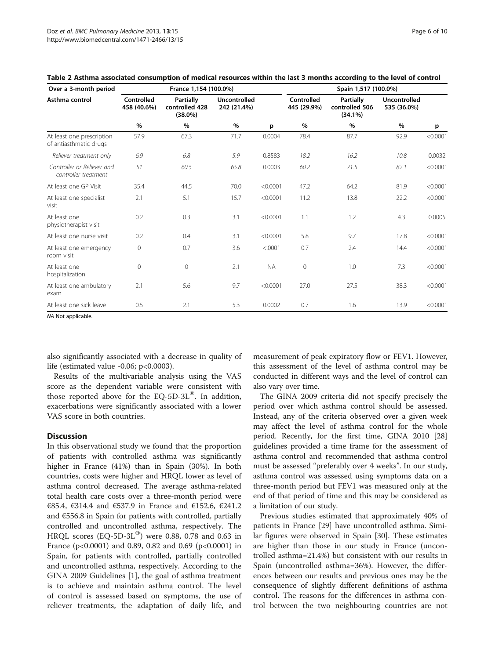| Over a 3-month period                               | France 1,154 (100.0%)     |                                                  |                                    |           | Spain 1,517 (100.0%)      |                                                  |                                    |          |
|-----------------------------------------------------|---------------------------|--------------------------------------------------|------------------------------------|-----------|---------------------------|--------------------------------------------------|------------------------------------|----------|
| Asthma control                                      | Controlled<br>458 (40.6%) | <b>Partially</b><br>controlled 428<br>$(38.0\%)$ | <b>Uncontrolled</b><br>242 (21.4%) |           | Controlled<br>445 (29.9%) | <b>Partially</b><br>controlled 506<br>$(34.1\%)$ | <b>Uncontrolled</b><br>535 (36.0%) |          |
|                                                     | %                         | %                                                | %                                  | p         | %                         | %                                                | %                                  | р        |
| At least one prescription<br>of antiasthmatic drugs | 57.9                      | 67.3                                             | 71.7                               | 0.0004    | 78.4                      | 87.7                                             | 92.9                               | < 0.0001 |
| Reliever treatment only                             | 6.9                       | 6.8                                              | 5.9                                | 0.8583    | 18.2                      | 16.2                                             | 10.8                               | 0.0032   |
| Controller or Reliever and<br>controller treatment  | 51                        | 60.5                                             | 65.8                               | 0.0003    | 60.2                      | 71.5                                             | 82.1                               | < 0.0001 |
| At least one GP Visit                               | 35.4                      | 44.5                                             | 70.0                               | < 0.0001  | 47.2                      | 64.2                                             | 81.9                               | < 0.0001 |
| At least one specialist<br>visit                    | 2.1                       | 5.1                                              | 15.7                               | < 0.0001  | 11.2                      | 13.8                                             | 22.2                               | < 0.0001 |
| At least one<br>physiotherapist visit               | 0.2                       | 0.3                                              | 3.1                                | < 0.0001  | 1.1                       | 1.2                                              | 4.3                                | 0.0005   |
| At least one nurse visit                            | 0.2                       | 0.4                                              | 3.1                                | < 0.0001  | 5.8                       | 9.7                                              | 17.8                               | < 0.0001 |
| At least one emergency<br>room visit                | 0                         | 0.7                                              | 3.6                                | < .0001   | 0.7                       | 2.4                                              | 14.4                               | < 0.0001 |
| At least one<br>hospitalization                     | 0                         | $\mathbf 0$                                      | 2.1                                | <b>NA</b> | $\mathbf 0$               | 1.0                                              | 7.3                                | < 0.0001 |
| At least one ambulatory<br>exam                     | 2.1                       | 5.6                                              | 9.7                                | < 0.0001  | 27.0                      | 27.5                                             | 38.3                               | < 0.0001 |
| At least one sick leave                             | 0.5                       | 2.1                                              | 5.3                                | 0.0002    | 0.7                       | 1.6                                              | 13.9                               | < 0.0001 |

#### <span id="page-5-0"></span>Table 2 Asthma associated consumption of medical resources within the last 3 months according to the level of control

NA Not applicable.

also significantly associated with a decrease in quality of life (estimated value -0.06; p<0.0003).

Results of the multivariable analysis using the VAS score as the dependent variable were consistent with those reported above for the EQ-5D-3L $^{\circledR}$ . In addition, exacerbations were significantly associated with a lower VAS score in both countries.

#### **Discussion**

In this observational study we found that the proportion of patients with controlled asthma was significantly higher in France (41%) than in Spain (30%). In both countries, costs were higher and HRQL lower as level of asthma control decreased. The average asthma-related total health care costs over a three-month period were €85.4, €314.4 and €537.9 in France and €152.6, €241.2 and  $6556.8$  in Spain for patients with controlled, partially controlled and uncontrolled asthma, respectively. The HRQL scores  $(EQ-5D-3L^{\otimes})$  were 0.88, 0.78 and 0.63 in France ( $p<0.0001$ ) and 0.89, 0.82 and 0.69 ( $p<0.0001$ ) in Spain, for patients with controlled, partially controlled and uncontrolled asthma, respectively. According to the GINA 2009 Guidelines [\[1](#page-9-0)], the goal of asthma treatment is to achieve and maintain asthma control. The level of control is assessed based on symptoms, the use of reliever treatments, the adaptation of daily life, and

measurement of peak expiratory flow or FEV1. However, this assessment of the level of asthma control may be conducted in different ways and the level of control can also vary over time.

The GINA 2009 criteria did not specify precisely the period over which asthma control should be assessed. Instead, any of the criteria observed over a given week may affect the level of asthma control for the whole period. Recently, for the first time, GINA 2010 [[28](#page-9-0)] guidelines provided a time frame for the assessment of asthma control and recommended that asthma control must be assessed "preferably over 4 weeks". In our study, asthma control was assessed using symptoms data on a three-month period but FEV1 was measured only at the end of that period of time and this may be considered as a limitation of our study.

Previous studies estimated that approximately 40% of patients in France [[29](#page-9-0)] have uncontrolled asthma. Similar figures were observed in Spain [[30\]](#page-9-0). These estimates are higher than those in our study in France (uncontrolled asthma=21.4%) but consistent with our results in Spain (uncontrolled asthma=36%). However, the differences between our results and previous ones may be the consequence of slightly different definitions of asthma control. The reasons for the differences in asthma control between the two neighbouring countries are not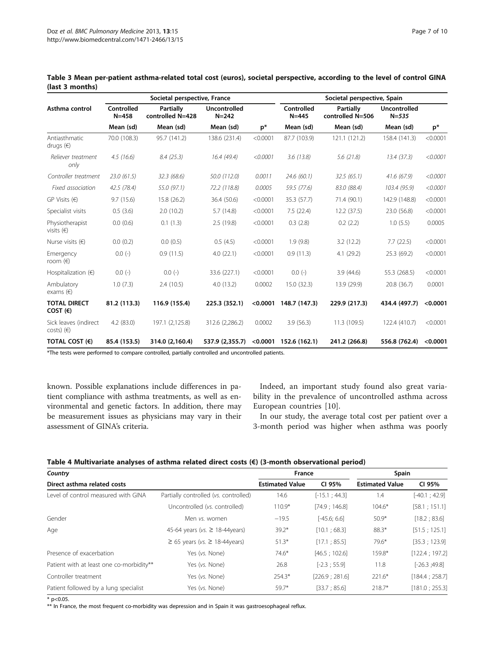|                                                                                                 |                         | Societal perspective, France         |                                  |            |                         | Societal perspective, Spain          |                                  |          |  |  |
|-------------------------------------------------------------------------------------------------|-------------------------|--------------------------------------|----------------------------------|------------|-------------------------|--------------------------------------|----------------------------------|----------|--|--|
| Asthma control                                                                                  | Controlled<br>$N = 458$ | <b>Partially</b><br>controlled N=428 | <b>Uncontrolled</b><br>$N = 242$ |            | Controlled<br>$N = 445$ | <b>Partially</b><br>controlled N=506 | <b>Uncontrolled</b><br>$N = 535$ |          |  |  |
|                                                                                                 | Mean (sd)               | Mean (sd)                            | Mean (sd)                        | $p^*$      | Mean (sd)               | Mean (sd)                            | Mean (sd)                        | $p^*$    |  |  |
| Antiasthmatic<br>drugs $(\epsilon)$                                                             | 70.0 (108.3)            | 95.7 (141.2)                         | 138.6 (231.4)                    | < 0.0001   | 87.7 (103.9)            | 121.1 (121.2)                        | 158.4 (141.3)                    | < 0.0001 |  |  |
| Reliever treatment<br>only                                                                      | 4.5(16.6)               | 8.4(25.3)                            | 16.4(49.4)                       | < 0.0001   | 3.6(13.8)               | 5.6(21.8)                            | 13.4(37.3)                       | < 0.0001 |  |  |
| Controller treatment                                                                            | 23.0(61.5)              | 32.3(68.6)                           | 50.0 (112.0)                     | 0.0011     | 24.6(60.1)              | 32.5(65.1)                           | 41.6(67.9)                       | < 0.0001 |  |  |
| Fixed association                                                                               | 42.5(78.4)              | 55.0 (97.1)                          | 72.2 (118.8)                     | 0.0005     | 59.5 (77.6)             | 83.0 (88.4)                          | 103.4 (95.9)                     | < 0.0001 |  |  |
| $GP$ Visits $(E)$                                                                               | 9.7(15.6)               | 15.8 (26.2)                          | 36.4 (50.6)                      | < 0.0001   | 35.3 (57.7)             | 71.4 (90.1)                          | 142.9 (148.8)                    | < 0.0001 |  |  |
| Specialist visits                                                                               | 0.5(3.6)                | 2.0(10.2)                            | 5.7(14.8)                        | < 0.0001   | 7.5(22.4)               | 12.2(37.5)                           | 23.0 (56.8)                      | < 0.0001 |  |  |
| Physiotherapist<br>visits $(\in)$                                                               | 0.0(0.6)                | 0.1(1.3)                             | 2.5(19.8)                        | < 0.0001   | 0.3(2.8)                | 0.2(2.2)                             | 1.0(5.5)                         | 0.0005   |  |  |
| Nurse visits $(\epsilon)$                                                                       | 0.0(0.2)                | 0.0(0.5)                             | 0.5(4.5)                         | < 0.0001   | 1.9(9.8)                | 3.2(12.2)                            | 7.7(22.5)                        | < 0.0001 |  |  |
| Emergency<br>room $(\in)$                                                                       | $0.0(-)$                | 0.9(11.5)                            | 4.0(22.1)                        | < 0.0001   | 0.9(11.3)               | 4.1 (29.2)                           | 25.3(69.2)                       | < 0.0001 |  |  |
| Hospitalization $(\epsilon)$                                                                    | $0.0(-)$                | $0.0(-)$                             | 33.6 (227.1)                     | < 0.0001   | $0.0(-)$                | 3.9(44.6)                            | 55.3 (268.5)                     | < 0.0001 |  |  |
| Ambulatory<br>exams $(\epsilon)$                                                                | 1.0(7.3)                | 2.4(10.5)                            | 4.0(13.2)                        | 0.0002     | 15.0 (32.3)             | 13.9 (29.9)                          | 20.8 (36.7)                      | 0.0001   |  |  |
| <b>TOTAL DIRECT</b><br>COST(E)                                                                  | 81.2 (113.3)            | 116.9 (155.4)                        | 225.3 (352.1)                    | < 0.0001   | 148.7 (147.3)           | 229.9 (217.3)                        | 434.4 (497.7)                    | < 0.0001 |  |  |
| Sick leaves (indirect<br>$costs)$ ( $\in$ )                                                     | 4.2(83.0)               | 197.1 (2,125.8)                      | 312.6 (2,286.2)                  | 0.0002     | 3.9(56.3)               | 11.3 (109.5)                         | 122.4 (410.7)                    | < 0.0001 |  |  |
| TOTAL COST (€)                                                                                  | 85.4 (153.5)            | 314.0 (2,160.4)                      | 537.9 (2,355.7)                  | $<$ 0.0001 | 152.6 (162.1)           | 241.2 (266.8)                        | 556.8 (762.4)                    | < 0.0001 |  |  |
| *The tests were performed to compass controlled, pertially controlled and weapptrolled patients |                         |                                      |                                  |            |                         |                                      |                                  |          |  |  |

<span id="page-6-0"></span>Table 3 Mean per-patient asthma-related total cost (euros), societal perspective, according to the level of control GINA (last 3 months)

\*The tests were performed to compare controlled, partially controlled and uncontrolled patients.

known. Possible explanations include differences in patient compliance with asthma treatments, as well as environmental and genetic factors. In addition, there may be measurement issues as physicians may vary in their assessment of GINA's criteria.

Indeed, an important study found also great variability in the prevalence of uncontrolled asthma across European countries [\[10](#page-9-0)].

In our study, the average total cost per patient over a 3-month period was higher when asthma was poorly

| Table 4 Multivariate analyses of asthma related direct costs ( $\epsilon$ ) (3-month observational period) |  |  |
|------------------------------------------------------------------------------------------------------------|--|--|
|------------------------------------------------------------------------------------------------------------|--|--|

| Country<br>Direct asthma related costs   |                                       | France                 |                 | Spain                  |                 |  |
|------------------------------------------|---------------------------------------|------------------------|-----------------|------------------------|-----------------|--|
|                                          |                                       | <b>Estimated Value</b> | CI 95%          | <b>Estimated Value</b> | CI 95%          |  |
| Level of control measured with GINA      | Partially controlled (vs. controlled) | 14.6                   | $[-15.1; 44.3]$ | 1.4                    | $[-40.1; 42.9]$ |  |
|                                          | Uncontrolled (vs. controlled)         | $110.9*$               | [74.9:146.8]    | $104.6*$               | [58.1; 151.1]   |  |
| Gender                                   | Men vs. women                         | $-19.5$                | $[-45.6; 6.6]$  | $50.9*$                | [18.2 : 83.6]   |  |
| Age                                      | 45-64 years (vs. $\geq$ 18-44years)   | $39.2*$                | [10.1; 68.3]    | $88.3*$                | [51.5; 125.1]   |  |
|                                          | $≥ 65$ years (vs. $≥ 18-44$ years)    | $51.3*$                | [17.1; 85.5]    | $79.6*$                | [35.3; 123.9]   |  |
| Presence of exacerbation                 | Yes (vs. None)                        | $74.6*$                | [46.5:102.6]    | 159.8*                 | [122.4; 197.2]  |  |
| Patient with at least one co-morbidity** | Yes (vs. None)                        | 26.8                   | $[-2.3; 55.9]$  | 11.8                   | $[-26.3; 49.8]$ |  |
| Controller treatment                     | Yes (vs. None)                        | $254.3*$               | [226.9; 281.6]  | $221.6*$               | [184.4:258.7]   |  |
| Patient followed by a lung specialist    | Yes (vs. None)                        | $59.7*$                | [33.7; 85.6]    | $218.7*$               | [181.0; 255.3]  |  |

 $*$  p<0.05.

\*\* In France, the most frequent co-morbidity was depression and in Spain it was gastroesophageal reflux.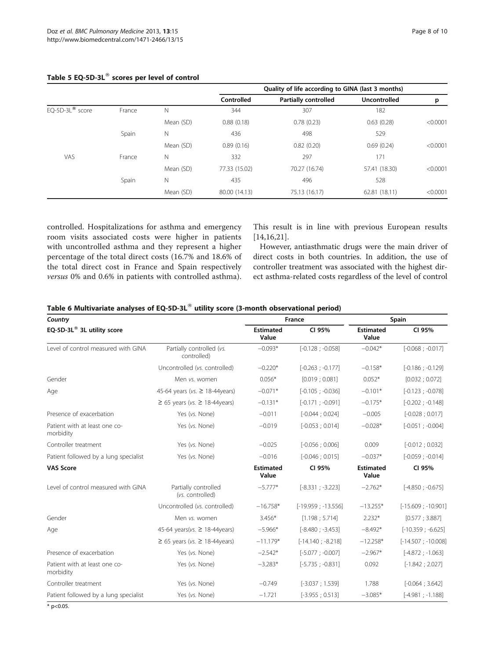|                   |        |             | Quality of life according to GINA (last 3 months) |                             |                     |          |  |
|-------------------|--------|-------------|---------------------------------------------------|-----------------------------|---------------------|----------|--|
|                   |        |             | Controlled                                        | <b>Partially controlled</b> | <b>Uncontrolled</b> | p        |  |
| $EQ-5D-3L®$ score | France | N           | 344                                               | 307                         | 182                 |          |  |
|                   |        | Mean (SD)   | 0.88(0.18)                                        | 0.78(0.23)                  | 0.63(0.28)          | < 0.0001 |  |
|                   | Spain  | $\mathbb N$ | 436                                               | 498                         | 529                 |          |  |
|                   |        | Mean (SD)   | 0.89(0.16)                                        | 0.82(0.20)                  | 0.69(0.24)          | < 0.0001 |  |
| VAS               | France | N           | 332                                               | 297                         | 171                 |          |  |
|                   |        | Mean (SD)   | 77.33 (15.02)                                     | 70.27 (16.74)               | 57.41 (18.30)       | < 0.0001 |  |
|                   | Spain  | $\mathbb N$ | 435                                               | 496                         | 528                 |          |  |
|                   |        | Mean (SD)   | 80.00 (14.13)                                     | 75.13 (16.17)               | 62.81 (18.11)       | < 0.0001 |  |
|                   |        |             |                                                   |                             |                     |          |  |

# <span id="page-7-0"></span>Table 5 EQ-5D-3L $^{\circ\circ}$  scores per level of control

controlled. Hospitalizations for asthma and emergency room visits associated costs were higher in patients with uncontrolled asthma and they represent a higher percentage of the total direct costs (16.7% and 18.6% of the total direct cost in France and Spain respectively versus 0% and 0.6% in patients with controlled asthma). This result is in line with previous European results [[14,16,21](#page-9-0)].

However, antiasthmatic drugs were the main driver of direct costs in both countries. In addition, the use of controller treatment was associated with the highest direct asthma-related costs regardless of the level of control

| Table 6 Multivariate analyses of EQ-5D-3L® utility score (3-month observational period) |  |  |  |  |  |
|-----------------------------------------------------------------------------------------|--|--|--|--|--|
|-----------------------------------------------------------------------------------------|--|--|--|--|--|

| Country                                    |                                          | France                    | Spain                |                           |                      |
|--------------------------------------------|------------------------------------------|---------------------------|----------------------|---------------------------|----------------------|
| EQ-5D-3L® 3L utility score                 |                                          | <b>Estimated</b><br>Value | CI 95%               | <b>Estimated</b><br>Value | CI 95%               |
| Level of control measured with GINA        | Partially controlled (vs.<br>controlled) | $-0.093*$                 | $[-0.128; -0.058]$   | $-0.042*$                 | $[-0.068; -0.017]$   |
|                                            | Uncontrolled (vs. controlled)            | $-0.220*$                 | $[-0.263; -0.177]$   | $-0.158*$                 | $[-0.186; -0.129]$   |
| Gender                                     | Men vs. women                            | $0.056*$                  | [0.019:0.081]        | $0.052*$                  | [0.032:0.072]        |
| Age                                        | 45-64 years (vs. ≥ 18-44years)           | $-0.071*$                 | $[-0.105; -0.036]$   | $-0.101*$                 | $[-0.123; -0.078]$   |
|                                            | $≥ 65$ years (vs. $≥ 18-44$ years)       | $-0.131*$                 | $[-0.171; -0.091]$   | $-0.175*$                 | $[-0.202; -0.148]$   |
| Presence of exacerbation                   | Yes (vs. None)                           | $-0.011$                  | $[-0.044:0.024]$     | $-0.005$                  | $[-0.028:0.017]$     |
| Patient with at least one co-<br>morbidity | Yes (vs. None)                           | $-0.019$                  | $[-0.053:0.014]$     | $-0.028*$                 | $[-0.051; -0.004]$   |
| Controller treatment                       | Yes (vs. None)                           | $-0.025$                  | $[-0.056:0.006]$     | 0.009                     | $[-0.012; 0.032]$    |
| Patient followed by a lung specialist      | Yes (vs. None)                           | $-0.016$                  | $[-0.046:0.015]$     | $-0.037*$                 | $[-0.059; -0.014]$   |
| <b>VAS Score</b>                           |                                          | <b>Estimated</b><br>Value | CI 95%               | <b>Estimated</b><br>Value | CI 95%               |
| Level of control measured with GINA        | Partially controlled<br>(vs. controlled) | $-5.777*$                 | $[-8.331; -3.223]$   | $-2.762*$                 | $[-4.850; -0.675]$   |
|                                            | Uncontrolled (vs. controlled)            | $-16.758*$                | $[-19.959; -13.556]$ | $-13.255*$                | $[-15.609; -10.901]$ |
| Gender                                     | Men vs. women                            | 3.456*                    | [1.198:5.714]        | $2.232*$                  | [0.577; 3.887]       |
| Age                                        | 45-64 years(vs. $\geq$ 18-44years)       | $-5.966*$                 | $[-8.480; -3.453]$   | $-8.492*$                 | $[-10.359; -6.625]$  |
|                                            | $≥ 65$ years (vs. $≥ 18-44$ years)       | $-11.179*$                | $[-14.140; -8.218]$  | $-12.258*$                | $[-14.507; -10.008]$ |
| Presence of exacerbation                   | Yes (vs. None)                           | $-2.542*$                 | $[-5.077; -0.007]$   | $-2.967*$                 | $[-4.872; -1.063]$   |
| Patient with at least one co-<br>morbidity | Yes (vs. None)                           | $-3.283*$                 | $[-5.735; -0.831]$   | 0.092                     | $[-1.842:2.027]$     |
| Controller treatment                       | Yes (vs. None)                           | $-0.749$                  | $[-3.037; 1.539]$    | 1.788                     | $[-0.064; 3.642]$    |
| Patient followed by a lung specialist      | Yes (vs. None)                           | $-1.721$                  | $[-3.955; 0.513]$    | $-3.085*$                 | $[-4.981; -1.188]$   |

 $*$  p<0.05.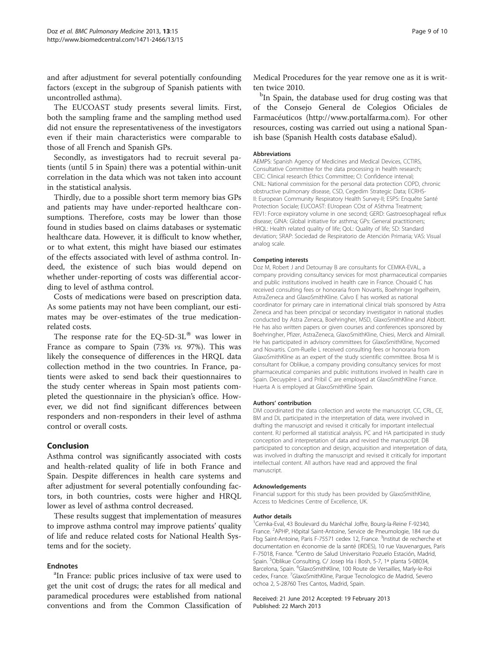and after adjustment for several potentially confounding factors (except in the subgroup of Spanish patients with uncontrolled asthma).

The EUCOAST study presents several limits. First, both the sampling frame and the sampling method used did not ensure the representativeness of the investigators even if their main characteristics were comparable to those of all French and Spanish GPs.

Secondly, as investigators had to recruit several patients (until 5 in Spain) there was a potential within-unit correlation in the data which was not taken into account in the statistical analysis.

Thirdly, due to a possible short term memory bias GPs and patients may have under-reported healthcare consumptions. Therefore, costs may be lower than those found in studies based on claims databases or systematic healthcare data. However, it is difficult to know whether, or to what extent, this might have biased our estimates of the effects associated with level of asthma control. Indeed, the existence of such bias would depend on whether under-reporting of costs was differential according to level of asthma control.

Costs of medications were based on prescription data. As some patients may not have been compliant, our estimates may be over-estimates of the true medicationrelated costs.

The response rate for the EQ-5D-3L $^{\circ}$  was lower in France as compare to Spain (73% vs. 97%). This was likely the consequence of differences in the HRQL data collection method in the two countries. In France, patients were asked to send back their questionnaires to the study center whereas in Spain most patients completed the questionnaire in the physician's office. However, we did not find significant differences between responders and non-responders in their level of asthma control or overall costs.

# Conclusion

Asthma control was significantly associated with costs and health-related quality of life in both France and Spain. Despite differences in health care systems and after adjustment for several potentially confounding factors, in both countries, costs were higher and HRQL lower as level of asthma control decreased.

These results suggest that implementation of measures to improve asthma control may improve patients' quality of life and reduce related costs for National Health Systems and for the society.

#### Endnotes

<sup>a</sup>In France: public prices inclusive of tax were used to get the unit cost of drugs; the rates for all medical and paramedical procedures were established from national conventions and from the Common Classification of

Medical Procedures for the year remove one as it is written twice 2010.

<sup>b</sup>In Spain, the database used for drug costing was that of the Consejo General de Colegios Oficiales de Farmacéuticos ([http://www.portalfarma.com\)](http://www.portalfarma.com). For other resources, costing was carried out using a national Spanish base (Spanish Health costs database eSalud).

#### Abbreviations

AEMPS: Spanish Agency of Medicines and Medical Devices, CCTIRS, Consultative Committee for the data processing in health research; CEIC: Clinical research Ethics Committee; CI: Confidence interval; CNIL: National commission for the personal data protection COPD, chronic obstructive pulmonary disease, CSD, Cegedim Strategic Data; ECRHS-II: European Community Respiratory Health Survey-II; ESPS: Enquête Santé Protection Sociale; EUCOAST: EUropean COst of ASthma Treatment; FEV1: Force expiratory volume in one second; GERD: Gastroesophageal reflux disease; GINA: Global initiative for asthma; GPs: General practitioners; HRQL: Health related quality of life; QoL: Quality of life; SD: Standard deviation; SRAP: Sociedad de Respiratorio de Atención Primaria; VAS: Visual analog scale.

#### Competing interests

Doz M, Robert J and Detournay B are consultants for CEMKA-EVAL, a company providing consultancy services for most pharmaceutical companies and public institutions involved in health care in France. Chouaid C has received consulting fees or honoraria from Novartis, Boehringer Ingelheim, AstraZeneca and GlaxoSmithKline. Calvo E has worked as national coordinator for primary care in international clinical trials sponsored by Astra Zeneca and has been principal or secondary investigator in national studies conducted by Astra Zeneca, Boehringher, MSD, GlaxoSmithKline and Abbott. He has also written papers or given courses and conferences sponsored by Boehringher, Pfizer, AstraZeneca, GlaxoSmithKline, Chiesi, Merck and Almirall. He has participated in advisory committees for GlaxoSmithKline, Nycomed and Novartis. Com-Ruelle L received consulting fees or honoraria from GlaxoSmithKline as an expert of the study scientific committee. Brosa M is consultant for Oblikue, a company providing consultancy services for most pharmaceutical companies and public institutions involved in health care in Spain. Decuypère L and Pribil C are employed at GlaxoSmithKline France. Huerta A is employed at GlaxoSmithKline Spain.

#### Authors' contribution

DM coordinated the data collection and wrote the manuscript. CC, CRL, CE, BM and DL participated in the interpretation of data, were involved in drafting the manuscript and revised it critically for important intellectual content. RJ performed all statistical analysis. PC and HA participated in study conception and interpretation of data and revised the manuscript. DB participated to conception and design, acquisition and interpretation of data, was involved in drafting the manuscript and revised it critically for important intellectual content. All authors have read and approved the final manuscript.

#### Acknowledgements

Financial support for this study has been provided by GlaxoSmithKline, Access to Medicines Centre of Excellence, UK.

#### Author details

<sup>1</sup>Cemka-Eval, 43 Boulevard du Maréchal Joffre, Bourg-la-Reine F-92340, France. <sup>2</sup> APHP, Hôpital Saint-Antoine, Service de Pneumologie, 184 rue du Fbg Saint-Antoine, Paris F-75571 cedex 12, France. <sup>3</sup>Institut de recherche et documentation en économie de la santé (IRDES), 10 rue Vauvenargues, Paris F-75018, France. <sup>4</sup>Centro de Salud Universitario Pozuelo Estación, Madrid Spain. <sup>5</sup>Oblikue Consulting, C/ Josep Irla i Bosh, 5-7, 1ª planta S-08034, Barcelona, Spain. <sup>6</sup>GlaxoSmithKline, 100 Route de Versailles, Marly-le-Roi cedex, France. <sup>7</sup>GlaxoSmithKline, Parque Tecnologico de Madrid, Severo ochoa 2, S-28760 Tres Cantos, Madrid, Spain.

#### Received: 21 June 2012 Accepted: 19 February 2013 Published: 22 March 2013